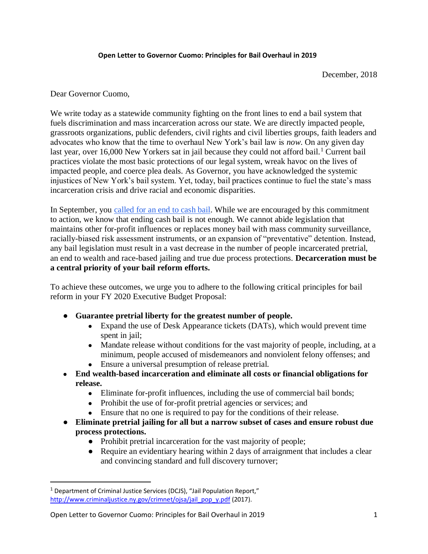## **Open Letter to Governor Cuomo: Principles for Bail Overhaul in 2019**

December, 2018

Dear Governor Cuomo,

We write today as a statewide community fighting on the front lines to end a bail system that fuels discrimination and mass incarceration across our state. We are directly impacted people, grassroots organizations, public defenders, civil rights and civil liberties groups, faith leaders and advocates who know that the time to overhaul New York's bail law is *now*. On any given day last year, over 16,000 New Yorkers sat in jail because they could not afford bail.<sup>1</sup> Current bail practices violate the most basic protections of our legal system, wreak havoc on the lives of impacted people, and coerce plea deals. As Governor, you have acknowledged the systemic injustices of New York's bail system. Yet, today, bail practices continue to fuel the state's mass incarceration crisis and drive racial and economic disparities.

In September, you [called for an end to cash bail.](https://twitter.com/NYGovCuomo/status/1046143167672844293?s=09) While we are encouraged by this commitment to action, we know that ending cash bail is not enough. We cannot abide legislation that maintains other for-profit influences or replaces money bail with mass community surveillance, racially-biased risk assessment instruments, or an expansion of "preventative" detention. Instead, any bail legislation must result in a vast decrease in the number of people incarcerated pretrial, an end to wealth and race-based jailing and true due process protections. **Decarceration must be a central priority of your bail reform efforts.**

To achieve these outcomes, we urge you to adhere to the following critical principles for bail reform in your FY 2020 Executive Budget Proposal:

- **Guarantee pretrial liberty for the greatest number of people.** 
	- Expand the use of Desk Appearance tickets (DATs), which would prevent time spent in jail;
	- Mandate release without conditions for the vast majority of people, including, at a minimum, people accused of misdemeanors and nonviolent felony offenses; and
	- Ensure a universal presumption of release pretrial.
- **End wealth-based incarceration and eliminate all costs or financial obligations for release.** 
	- Eliminate for-profit influences, including the use of commercial bail bonds;
	- Prohibit the use of for-profit pretrial agencies or services; and
	- Ensure that no one is required to pay for the conditions of their release.
- **Eliminate pretrial jailing for all but a narrow subset of cases and ensure robust due process protections.** 
	- Prohibit pretrial incarceration for the vast majority of people;
	- Require an evidentiary hearing within 2 days of arraignment that includes a clear and convincing standard and full discovery turnover;

l

<sup>&</sup>lt;sup>1</sup> Department of Criminal Justice Services (DCJS), "Jail Population Report," [http://www.criminaljustice.ny.gov/crimnet/ojsa/jail\\_pop\\_y.pdf](http://www.criminaljustice.ny.gov/crimnet/ojsa/jail_pop_y.pdf) (2017).

Open Letter to Governor Cuomo: Principles for Bail Overhaul in 2019 1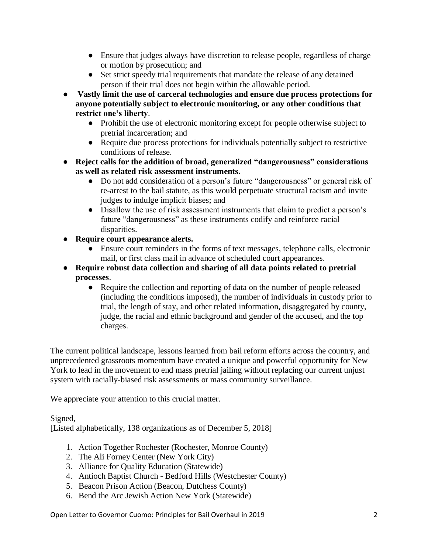- Ensure that judges always have discretion to release people, regardless of charge or motion by prosecution; and
- Set strict speedy trial requirements that mandate the release of any detained person if their trial does not begin within the allowable period.
- **Vastly limit the use of carceral technologies and ensure due process protections for anyone potentially subject to electronic monitoring, or any other conditions that restrict one's liberty**.
	- Prohibit the use of electronic monitoring except for people otherwise subject to pretrial incarceration; and
	- Require due process protections for individuals potentially subject to restrictive conditions of release.
- **Reject calls for the addition of broad, generalized "dangerousness" considerations as well as related risk assessment instruments.** 
	- Do not add consideration of a person's future "dangerousness" or general risk of re-arrest to the bail statute, as this would perpetuate structural racism and invite judges to indulge implicit biases; and
	- Disallow the use of risk assessment instruments that claim to predict a person's future "dangerousness" as these instruments codify and reinforce racial disparities.
- **Require court appearance alerts.**
	- Ensure court reminders in the forms of text messages, telephone calls, electronic mail, or first class mail in advance of scheduled court appearances.
- **Require robust data collection and sharing of all data points related to pretrial processes**.
	- Require the collection and reporting of data on the number of people released (including the conditions imposed), the number of individuals in custody prior to trial, the length of stay, and other related information, disaggregated by county, judge, the racial and ethnic background and gender of the accused, and the top charges.

The current political landscape, lessons learned from bail reform efforts across the country, and unprecedented grassroots momentum have created a unique and powerful opportunity for New York to lead in the movement to end mass pretrial jailing without replacing our current unjust system with racially-biased risk assessments or mass community surveillance.

We appreciate your attention to this crucial matter.

Signed,

[Listed alphabetically, 138 organizations as of December 5, 2018]

- 1. Action Together Rochester (Rochester, Monroe County)
- 2. The Ali Forney Center (New York City)
- 3. Alliance for Quality Education (Statewide)
- 4. Antioch Baptist Church Bedford Hills (Westchester County)
- 5. Beacon Prison Action (Beacon, Dutchess County)
- 6. Bend the Arc Jewish Action New York (Statewide)

Open Letter to Governor Cuomo: Principles for Bail Overhaul in 2019 2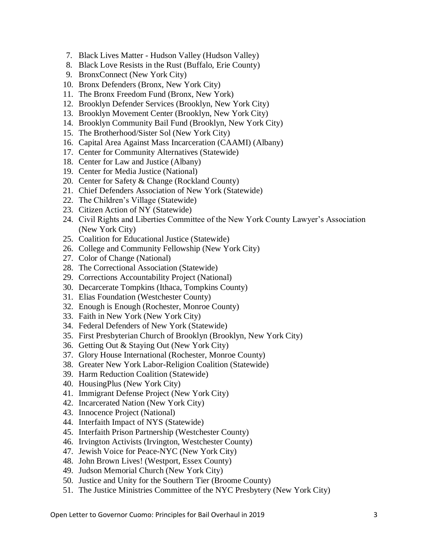- 7. Black Lives Matter Hudson Valley (Hudson Valley)
- 8. Black Love Resists in the Rust (Buffalo, Erie County)
- 9. BronxConnect (New York City)
- 10. Bronx Defenders (Bronx, New York City)
- 11. The Bronx Freedom Fund (Bronx, New York)
- 12. Brooklyn Defender Services (Brooklyn, New York City)
- 13. Brooklyn Movement Center (Brooklyn, New York City)
- 14. Brooklyn Community Bail Fund (Brooklyn, New York City)
- 15. The Brotherhood/Sister Sol (New York City)
- 16. Capital Area Against Mass Incarceration (CAAMI) (Albany)
- 17. Center for Community Alternatives (Statewide)
- 18. Center for Law and Justice (Albany)
- 19. Center for Media Justice (National)
- 20. Center for Safety & Change (Rockland County)
- 21. Chief Defenders Association of New York (Statewide)
- 22. The Children's Village (Statewide)
- 23. Citizen Action of NY (Statewide)
- 24. Civil Rights and Liberties Committee of the New York County Lawyer's Association (New York City)
- 25. Coalition for Educational Justice (Statewide)
- 26. College and Community Fellowship (New York City)
- 27. Color of Change (National)
- 28. The Correctional Association (Statewide)
- 29. Corrections Accountability Project (National)
- 30. Decarcerate Tompkins (Ithaca, Tompkins County)
- 31. Elias Foundation (Westchester County)
- 32. Enough is Enough (Rochester, Monroe County)
- 33. Faith in New York (New York City)
- 34. Federal Defenders of New York (Statewide)
- 35. First Presbyterian Church of Brooklyn (Brooklyn, New York City)
- 36. Getting Out & Staying Out (New York City)
- 37. Glory House International (Rochester, Monroe County)
- 38. Greater New York Labor-Religion Coalition (Statewide)
- 39. Harm Reduction Coalition (Statewide)
- 40. HousingPlus (New York City)
- 41. Immigrant Defense Project (New York City)
- 42. Incarcerated Nation (New York City)
- 43. Innocence Project (National)
- 44. Interfaith Impact of NYS (Statewide)
- 45. Interfaith Prison Partnership (Westchester County)
- 46. Irvington Activists (Irvington, Westchester County)
- 47. Jewish Voice for Peace-NYC (New York City)
- 48. John Brown Lives! (Westport, Essex County)
- 49. Judson Memorial Church (New York City)
- 50. Justice and Unity for the Southern Tier (Broome County)
- 51. The Justice Ministries Committee of the NYC Presbytery (New York City)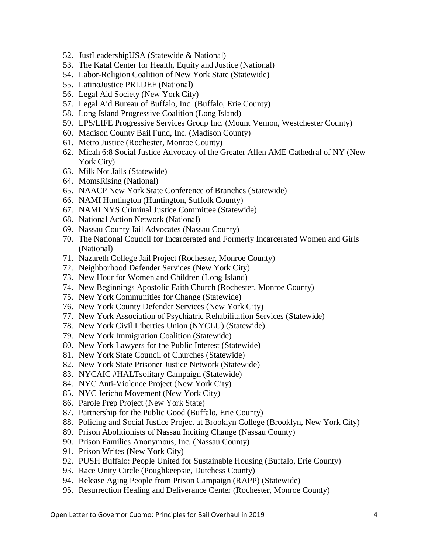- 52. JustLeadershipUSA (Statewide & National)
- 53. The Katal Center for Health, Equity and Justice (National)
- 54. Labor-Religion Coalition of New York State (Statewide)
- 55. LatinoJustice PRLDEF (National)
- 56. Legal Aid Society (New York City)
- 57. Legal Aid Bureau of Buffalo, Inc. (Buffalo, Erie County)
- 58. Long Island Progressive Coalition (Long Island)
- 59. LPS/LIFE Progressive Services Group Inc. (Mount Vernon, Westchester County)
- 60. Madison County Bail Fund, Inc. (Madison County)
- 61. Metro Justice (Rochester, Monroe County)
- 62. Micah 6:8 Social Justice Advocacy of the Greater Allen AME Cathedral of NY (New York City)
- 63. Milk Not Jails (Statewide)
- 64. MomsRising (National)
- 65. NAACP New York State Conference of Branches (Statewide)
- 66. NAMI Huntington (Huntington, Suffolk County)
- 67. NAMI NYS Criminal Justice Committee (Statewide)
- 68. National Action Network (National)
- 69. Nassau County Jail Advocates (Nassau County)
- 70. The National Council for Incarcerated and Formerly Incarcerated Women and Girls (National)
- 71. Nazareth College Jail Project (Rochester, Monroe County)
- 72. Neighborhood Defender Services (New York City)
- 73. New Hour for Women and Children (Long Island)
- 74. New Beginnings Apostolic Faith Church (Rochester, Monroe County)
- 75. New York Communities for Change (Statewide)
- 76. New York County Defender Services (New York City)
- 77. New York Association of Psychiatric Rehabilitation Services (Statewide)
- 78. New York Civil Liberties Union (NYCLU) (Statewide)
- 79. New York Immigration Coalition (Statewide)
- 80. New York Lawyers for the Public Interest (Statewide)
- 81. New York State Council of Churches (Statewide)
- 82. New York State Prisoner Justice Network (Statewide)
- 83. NYCAIC #HALTsolitary Campaign (Statewide)
- 84. NYC Anti-Violence Project (New York City)
- 85. NYC Jericho Movement (New York City)
- 86. Parole Prep Project (New York State)
- 87. Partnership for the Public Good (Buffalo, Erie County)
- 88. Policing and Social Justice Project at Brooklyn College (Brooklyn, New York City)
- 89. Prison Abolitionists of Nassau Inciting Change (Nassau County)
- 90. Prison Families Anonymous, Inc. (Nassau County)
- 91. Prison Writes (New York City)
- 92. PUSH Buffalo: People United for Sustainable Housing (Buffalo, Erie County)
- 93. Race Unity Circle (Poughkeepsie, Dutchess County)
- 94. Release Aging People from Prison Campaign (RAPP) (Statewide)
- 95. Resurrection Healing and Deliverance Center (Rochester, Monroe County)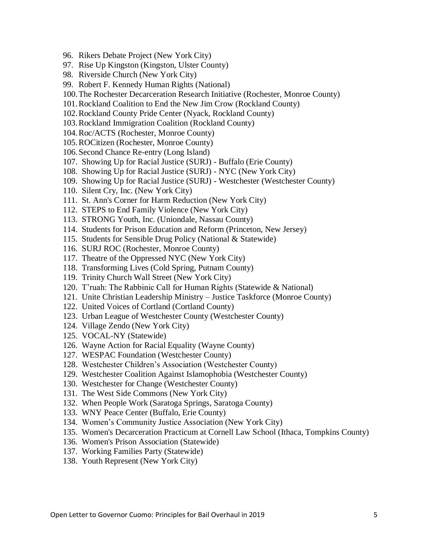- 96. Rikers Debate Project (New York City)
- 97. Rise Up Kingston (Kingston, Ulster County)
- 98. Riverside Church (New York City)
- 99. Robert F. Kennedy Human Rights (National)
- 100.The Rochester Decarceration Research Initiative (Rochester, Monroe County)
- 101.Rockland Coalition to End the New Jim Crow (Rockland County)
- 102.Rockland County Pride Center (Nyack, Rockland County)
- 103.Rockland Immigration Coalition (Rockland County)
- 104.Roc/ACTS (Rochester, Monroe County)
- 105.ROCitizen (Rochester, Monroe County)
- 106.Second Chance Re-entry (Long Island)
- 107. Showing Up for Racial Justice (SURJ) Buffalo (Erie County)
- 108. Showing Up for Racial Justice (SURJ) NYC (New York City)
- 109. Showing Up for Racial Justice (SURJ) Westchester (Westchester County)
- 110. Silent Cry, Inc. (New York City)
- 111. St. Ann's Corner for Harm Reduction (New York City)
- 112. STEPS to End Family Violence (New York City)
- 113. STRONG Youth, Inc. (Uniondale, Nassau County)
- 114. Students for Prison Education and Reform (Princeton, New Jersey)
- 115. Students for Sensible Drug Policy (National & Statewide)
- 116. SURJ ROC (Rochester, Monroe County)
- 117. Theatre of the Oppressed NYC (New York City)
- 118. Transforming Lives (Cold Spring, Putnam County)
- 119. Trinity Church Wall Street (New York City)
- 120. T'ruah: The Rabbinic Call for Human Rights (Statewide & National)
- 121. Unite Christian Leadership Ministry Justice Taskforce (Monroe County)
- 122. United Voices of Cortland (Cortland County)
- 123. Urban League of Westchester County (Westchester County)
- 124. Village Zendo (New York City)
- 125. VOCAL-NY (Statewide)
- 126. Wayne Action for Racial Equality (Wayne County)
- 127. WESPAC Foundation (Westchester County)
- 128. Westchester Children's Association (Westchester County)
- 129. Westchester Coalition Against Islamophobia (Westchester County)
- 130. Westchester for Change (Westchester County)
- 131. The West Side Commons (New York City)
- 132. When People Work (Saratoga Springs, Saratoga County)
- 133. WNY Peace Center (Buffalo, Erie County)
- 134. Women's Community Justice Association (New York City)
- 135. Women's Decarceration Practicum at Cornell Law School (Ithaca, Tompkins County)
- 136. Women's Prison Association (Statewide)
- 137. Working Families Party (Statewide)
- 138. Youth Represent (New York City)